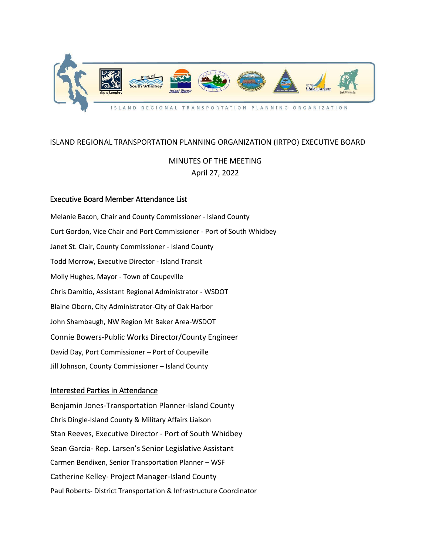

# ISLAND REGIONAL TRANSPORTATION PLANNING ORGANIZATION (IRTPO) EXECUTIVE BOARD

# MINUTES OF THE MEETING April 27, 2022

# Executive Board Member Attendance List

Melanie Bacon, Chair and County Commissioner - Island County Curt Gordon, Vice Chair and Port Commissioner - Port of South Whidbey Janet St. Clair, County Commissioner - Island County Todd Morrow, Executive Director - Island Transit Molly Hughes, Mayor - Town of Coupeville Chris Damitio, Assistant Regional Administrator - WSDOT Blaine Oborn, City Administrator-City of Oak Harbor John Shambaugh, NW Region Mt Baker Area-WSDOT Connie Bowers-Public Works Director/County Engineer David Day, Port Commissioner – Port of Coupeville Jill Johnson, County Commissioner – Island County

# Interested Parties in Attendance

Benjamin Jones-Transportation Planner-Island County Chris Dingle-Island County & Military Affairs Liaison Stan Reeves, Executive Director - Port of South Whidbey Sean Garcia- Rep. Larsen's Senior Legislative Assistant Carmen Bendixen, Senior Transportation Planner – WSF Catherine Kelley- Project Manager-Island County Paul Roberts- District Transportation & Infrastructure Coordinator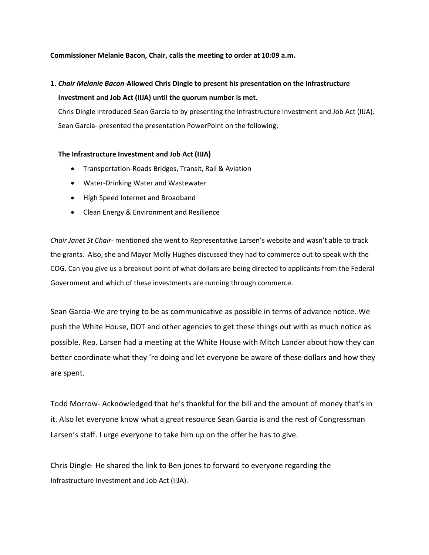#### **Commissioner Melanie Bacon, Chair, calls the meeting to order at 10:09 a.m.**

#### **1.** *Chair Melanie Bacon-***Allowed Chris Dingle to present his presentation on the Infrastructure**

#### **Investment and Job Act (IIJA) until the quorum number is met.**

Chris Dingle introduced Sean Garcia to by presenting the Infrastructure Investment and Job Act (IIJA). Sean Garcia- presented the presentation PowerPoint on the following:

#### **The Infrastructure Investment and Job Act (IIJA)**

- Transportation-Roads Bridges, Transit, Rail & Aviation
- Water-Drinking Water and Wastewater
- High Speed Internet and Broadband
- Clean Energy & Environment and Resilience

*Chair Janet St Chair-* mentioned she went to Representative Larsen's website and wasn't able to track the grants. Also, she and Mayor Molly Hughes discussed they had to commerce out to speak with the COG. Can you give us a breakout point of what dollars are being directed to applicants from the Federal Government and which of these investments are running through commerce.

Sean Garcia-We are trying to be as communicative as possible in terms of advance notice. We push the White House, DOT and other agencies to get these things out with as much notice as possible. Rep. Larsen had a meeting at the White House with Mitch Lander about how they can better coordinate what they 're doing and let everyone be aware of these dollars and how they are spent.

Todd Morrow- Acknowledged that he's thankful for the bill and the amount of money that's in it. Also let everyone know what a great resource Sean Garcia is and the rest of Congressman Larsen's staff. I urge everyone to take him up on the offer he has to give.

Chris Dingle- He shared the link to Ben jones to forward to everyone regarding the Infrastructure Investment and Job Act (IIJA).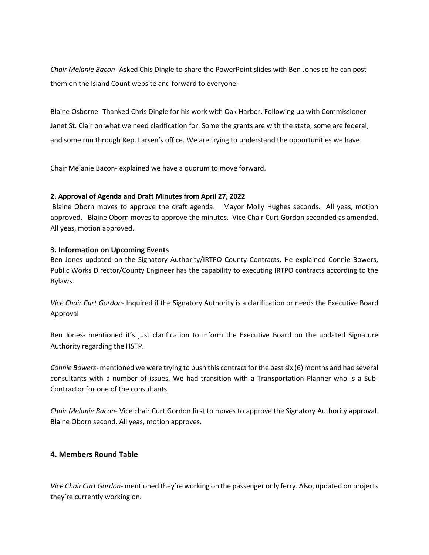*Chair Melanie Bacon-* Asked Chis Dingle to share the PowerPoint slides with Ben Jones so he can post them on the Island Count website and forward to everyone.

Blaine Osborne- Thanked Chris Dingle for his work with Oak Harbor. Following up with Commissioner Janet St. Clair on what we need clarification for. Some the grants are with the state, some are federal, and some run through Rep. Larsen's office. We are trying to understand the opportunities we have.

Chair Melanie Bacon- explained we have a quorum to move forward.

### **2. Approval of Agenda and Draft Minutes from April 27, 2022**

Blaine Oborn moves to approve the draft agenda. Mayor Molly Hughes seconds. All yeas, motion approved. Blaine Oborn moves to approve the minutes. Vice Chair Curt Gordon seconded as amended. All yeas, motion approved.

### **3. Information on Upcoming Events**

Ben Jones updated on the Signatory Authority/IRTPO County Contracts. He explained Connie Bowers, Public Works Director/County Engineer has the capability to executing IRTPO contracts according to the Bylaws.

*Vice Chair Curt Gordon-* Inquired if the Signatory Authority is a clarification or needs the Executive Board Approval

Ben Jones- mentioned it's just clarification to inform the Executive Board on the updated Signature Authority regarding the HSTP.

*Connie Bowers*- mentioned we were trying to push this contract for the past six (6) months and had several consultants with a number of issues. We had transition with a Transportation Planner who is a Sub-Contractor for one of the consultants.

*Chair Melanie Bacon*- Vice chair Curt Gordon first to moves to approve the Signatory Authority approval. Blaine Oborn second. All yeas, motion approves.

# **4. Members Round Table**

*Vice Chair Curt Gordon-* mentioned they're working on the passenger only ferry. Also, updated on projects they're currently working on.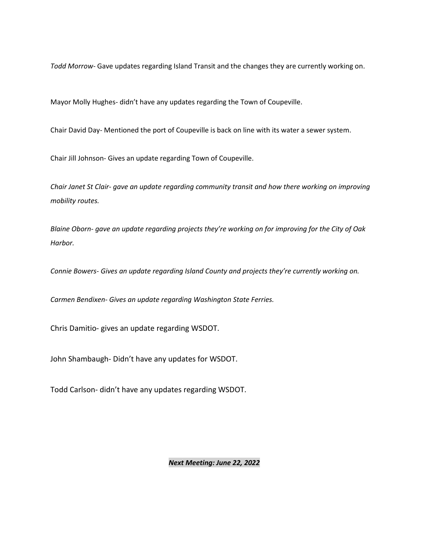*Todd Morrow-* Gave updates regarding Island Transit and the changes they are currently working on.

Mayor Molly Hughes- didn't have any updates regarding the Town of Coupeville.

Chair David Day- Mentioned the port of Coupeville is back on line with its water a sewer system.

Chair Jill Johnson- Gives an update regarding Town of Coupeville.

*Chair Janet St Clair- gave an update regarding community transit and how there working on improving mobility routes.* 

*Blaine Oborn- gave an update regarding projects they're working on for improving for the City of Oak Harbor.* 

*Connie Bowers- Gives an update regarding Island County and projects they're currently working on.* 

*Carmen Bendixen- Gives an update regarding Washington State Ferries.* 

Chris Damitio- gives an update regarding WSDOT.

John Shambaugh- Didn't have any updates for WSDOT.

Todd Carlson- didn't have any updates regarding WSDOT.

#### *Next Meeting: June 22, 2022*